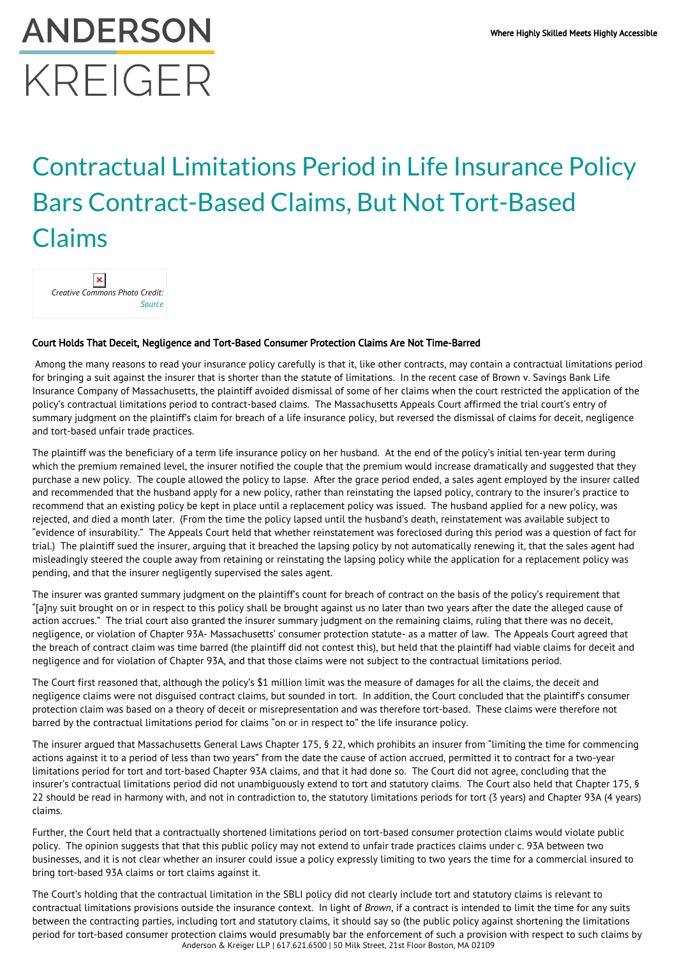## **ANDERSON** KRFIGFR

## Contractual Limitations Period in Life Insurance Policy Bars Contract-Based Claims, But Not Tort-Based Claims



## Court Holds That Deceit, Negligence and Tort-Based Consumer Protection Claims Are Not Time-Barred

 Among the many reasons to read your insurance policy carefully is that it, like other contracts, may contain a contractual limitations period for bringing a suit against the insurer that is shorter than the statute of limitations. In the recent case of Brown v. Savings Bank Life Insurance Company of Massachusetts, the plaintiff avoided dismissal of some of her claims when the court restricted the application of the policy's contractual limitations period to contract-based claims. The Massachusetts Appeals Court affirmed the trial court's entry of summary judgment on the plaintiff's claim for breach of a life insurance policy, but reversed the dismissal of claims for deceit, negligence and tort-based unfair trade practices.

The plaintiff was the beneficiary of a term life insurance policy on her husband. At the end of the policy's initial ten-year term during which the premium remained level, the insurer notified the couple that the premium would increase dramatically and suggested that they purchase a new policy. The couple allowed the policy to lapse. After the grace period ended, a sales agent employed by the insurer called and recommended that the husband apply for a new policy, rather than reinstating the lapsed policy, contrary to the insurer's practice to recommend that an existing policy be kept in place until a replacement policy was issued. The husband applied for a new policy, was rejected, and died a month later. (From the time the policy lapsed until the husband's death, reinstatement was available subject to "evidence of insurability." The Appeals Court held that whether reinstatement was foreclosed during this period was a question of fact for trial.) The plaintiff sued the insurer, arguing that it breached the lapsing policy by not automatically renewing it, that the sales agent had misleadingly steered the couple away from retaining or reinstating the lapsing policy while the application for a replacement policy was pending, and that the insurer negligently supervised the sales agent.

The insurer was granted summary judgment on the plaintiff's count for breach of contract on the basis of the policy's requirement that "[a]ny suit brought on or in respect to this policy shall be brought against us no later than two years after the date the alleged cause of action accrues." The trial court also granted the insurer summary judgment on the remaining claims, ruling that there was no deceit, negligence, or violation of Chapter 93A- Massachusetts' consumer protection statute- as a matter of law. The Appeals Court agreed that the breach of contract claim was time barred (the plaintiff did not contest this), but held that the plaintiff had viable claims for deceit and negligence and for violation of Chapter 93A, and that those claims were not subject to the contractual limitations period.

The Court first reasoned that, although the policy's \$1 million limit was the measure of damages for all the claims, the deceit and negligence claims were not disguised contract claims, but sounded in tort. In addition, the Court concluded that the plaintiff's consumer protection claim was based on a theory of deceit or misrepresentation and was therefore tort-based. These claims were therefore not barred by the contractual limitations period for claims "on or in respect to" the life insurance policy.

The insurer argued that Massachusetts General Laws Chapter 175, § 22, which prohibits an insurer from "limiting the time for commencing actions against it to a period of less than two years" from the date the cause of action accrued, permitted it to contract for a two-year limitations period for tort and tort-based Chapter 93A claims, and that it had done so. The Court did not agree, concluding that the insurer's contractual limitations period did not unambiguously extend to tort and statutory claims. The Court also held that Chapter 175, § 22 should be read in harmony with, and not in contradiction to, the statutory limitations periods for tort (3 years) and Chapter 93A (4 years) claims.

Further, the Court held that a contractually shortened limitations period on tort-based consumer protection claims would violate public policy. The opinion suggests that that this public policy may not extend to unfair trade practices claims under c. 93A between two businesses, and it is not clear whether an insurer could issue a policy expressly limiting to two years the time for a commercial insured to bring tort-based 93A claims or tort claims against it.

Anderson & Kreiger LLP | 617.621.6500 | 50 Milk Street, 21st Floor Boston, MA 02109 The Court's holding that the contractual limitation in the SBLI policy did not clearly include tort and statutory claims is relevant to contractual limitations provisions outside the insurance context. In light of *Brown*, if a contract is intended to limit the time for any suits between the contracting parties, including tort and statutory claims, it should say so (the public policy against shortening the limitations period for tort-based consumer protection claims would presumably bar the enforcement of such a provision with respect to such claims by